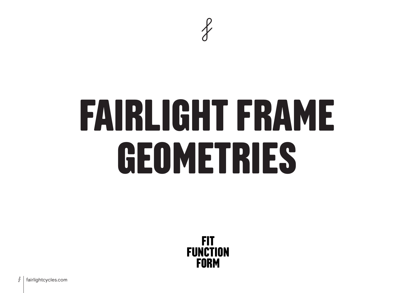

# **FAIRLIGHT FRAME GEOMETRIES**

**FIT FUNCTION FORM** 

f fairlightcycles.com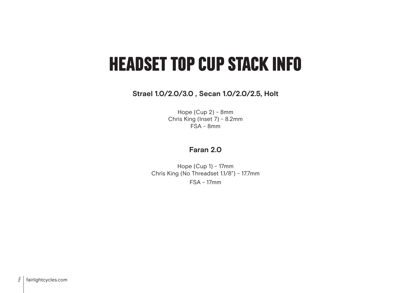## **HEADSET TOP CUP STACK INFO**

**Strael 1.0/2.0/3.0 , Secan 1.0/2.0/2.5, Holt** 

Hope (Cup 2) - 8mm Chris King (Inset 7) - 8.2mm FSA - 8mm

#### **Faran 2.0**

Hope (Cup 1) - 17mm Chris King (No Threadset 1.1/8") - 17.7mm FSA - 17mm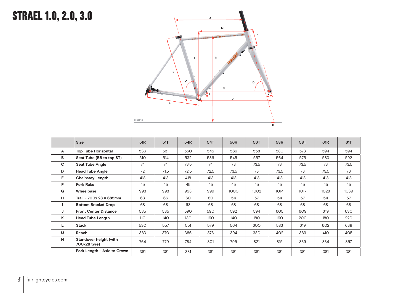## **STRAEL 1.0, 2.0, 3.0**



|              | <b>Size</b>                            | 51R | 51T  | 54R  | 54T  | <b>56R</b> | <b>56T</b> | 58R  | <b>58T</b> | 61 <sub>R</sub> | 61T  |
|--------------|----------------------------------------|-----|------|------|------|------------|------------|------|------------|-----------------|------|
| $\mathsf{A}$ | <b>Top Tube Horizontal</b>             | 536 | 531  | 550  | 545  | 566        | 558        | 580  | 573        | 594             | 594  |
| в            | Seat Tube (BB to top ST)               | 510 | 514  | 532  | 536  | 545        | 557        | 564  | 575        | 583             | 592  |
| $\mathbf{C}$ | <b>Seat Tube Angle</b>                 | 74  | 74   | 73.5 | 74   | 73         | 73.5       | 73   | 73.5       | 73              | 73.5 |
| D            | <b>Head Tube Angle</b>                 | 72  | 71.5 | 72.5 | 72.5 | 73.5       | 73         | 73.5 | 73         | 73.5            | 73   |
| Е            | <b>Chainstay Length</b>                | 418 | 418  | 418  | 418  | 418        | 418        | 418  | 418        | 418             | 418  |
| F.           | <b>Fork Rake</b>                       | 45  | 45   | 45   | 45   | 45         | 45         | 45   | 45         | 45              | 45   |
| G            | Wheelbase                              | 993 | 993  | 998  | 999  | 1000       | 1002       | 1014 | 1017       | 1028            | 1039 |
| Н.           | Trail - 700x 28 = 685mm                | 63  | 66   | 60   | 60   | 54         | 57         | 54   | 57         | 54              | 57   |
|              | <b>Bottom Bracket Drop</b>             | 68  | 68   | 68   | 68   | 68         | 68         | 68   | 68         | 68              | 68   |
| J            | <b>Front Center Distance</b>           | 585 | 585  | 590  | 590  | 592        | 594        | 605  | 609        | 619             | 630  |
| K            | <b>Head Tube Length</b>                | 110 | 140  | 130  | 160  | 140        | <b>180</b> | 160  | 200        | 180             | 220  |
| L            | <b>Stack</b>                           | 530 | 557  | 551  | 579  | 564        | 600        | 583  | 619        | 602             | 639  |
| М            | Reach                                  | 383 | 370  | 386  | 378  | 394        | 380        | 402  | 389        | 410             | 405  |
| N            | Standover height (with<br>700x28 tyre) | 764 | 779  | 784  | 801  | 795        | 821        | 815  | 839        | 834             | 857  |
|              | Fork Length - Axle to Crown            | 381 | 381  | 381  | 381  | 381        | 381        | 381  | 381        | 381             | 381  |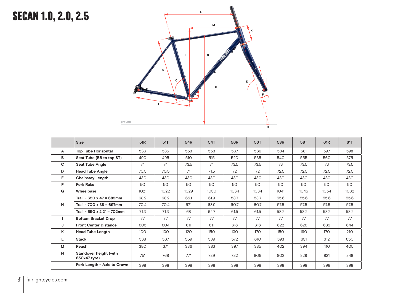## **SECAN 1.0, 2.0, 2.5**



|    | <b>Size</b>                            | 51 <sub>R</sub> | 51T  | 54R  | 54T  | <b>56R</b> | <b>56T</b> | 58R  | <b>58T</b> | 61 <sub>R</sub> | 61T  |
|----|----------------------------------------|-----------------|------|------|------|------------|------------|------|------------|-----------------|------|
| A  | <b>Top Tube Horizontal</b>             | 536             | 535  | 553  | 553  | 567        | 566        | 584  | 581        | 597             | 598  |
| в  | Seat Tube (BB to top ST)               | 490             | 495  | 510  | 515  | 520        | 535        | 540  | 555        | 560             | 575  |
| C  | <b>Seat Tube Angle</b>                 | 74              | 74   | 73.5 | 74   | 73.5       | 73.5       | 73   | 73.5       | 73              | 73.5 |
| D  | <b>Head Tube Angle</b>                 | 70.5            | 70.5 | 71   | 71.5 | 72         | 72         | 72.5 | 72.5       | 72.5            | 72.5 |
| E. | <b>Chainstay Length</b>                | 430             | 430  | 430  | 430  | 430        | 430        | 430  | 430        | 430             | 430  |
| F. | <b>Fork Rake</b>                       | 50              | 50   | 50   | 50   | 50         | 50         | 50   | 50         | 50              | 50   |
| G  | Wheelbase                              | 1021            | 1022 | 1029 | 1030 | 1034       | 1034       | 1041 | 1045       | 1054            | 1062 |
|    | Trail - $650 \times 47 = 685$ mm       | 68.2            | 68.2 | 65.1 | 61.9 | 58.7       | 58.7       | 55.6 | 55.6       | 55.6            | 55.6 |
| H. | Trail - 700 x 38 = 697mm               | 70.4            | 70.4 | 67.1 | 63.9 | 60.7       | 60.7       | 57.5 | 57.5       | 57.5            | 57.5 |
|    | Trail - 650 x 2.2" = 702mm             | 71.3            | 71.3 | 68   | 64.7 | 61.5       | 61.5       | 58.2 | 58.2       | 58.2            | 58.2 |
|    | <b>Bottom Bracket Drop</b>             | 77              | 77   | 77   | 77   | 77         | 77         | 77   | 77         | 77              | 77   |
| J  | <b>Front Center Distance</b>           | 603             | 604  | 611  | 611  | 616        | 616        | 622  | 626        | 635             | 644  |
| K  | <b>Head Tube Length</b>                | 100             | 130  | 120  | 150  | 130        | 170        | 150  | 190        | 170             | 210  |
| L  | <b>Stack</b>                           | 538             | 567  | 559  | 589  | 572        | 610        | 593  | 631        | 612             | 650  |
| M  | Reach                                  | 380             | 371  | 386  | 383  | 397        | 385        | 402  | 394        | 410             | 405  |
| N  | Standover height (with<br>650x47 tyre) | 751             | 768  | 771  | 789  | 782        | 809        | 802  | 829        | 821             | 848  |
|    | Fork Length - Axle to Crown            | 398             | 398  | 398  | 398  | 398        | 398        | 398  | 398        | 398             | 398  |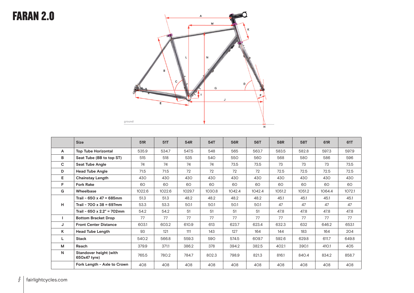#### **FARAN 2.0**



|    | <b>Size</b>                            | 51 <sub>R</sub> | 51T    | 54R    | <b>54T</b> | <b>56R</b> | 56T    | 58R    | <b>58T</b> | 61 <sub>R</sub> | 61T    |
|----|----------------------------------------|-----------------|--------|--------|------------|------------|--------|--------|------------|-----------------|--------|
| A  | <b>Top Tube Horizontal</b>             | 535.9           | 534.7  | 547.5  | 548        | 565        | 563.7  | 583.5  | 582.8      | 597.3           | 597.9  |
| в  | Seat Tube (BB to top ST)               | 515             | 518    | 535    | 540        | 550        | 560    | 568    | 580        | 586             | 596    |
| C  | <b>Seat Tube Angle</b>                 | 74              | 74     | 74     | 74         | 73.5       | 73.5   | 73     | 73         | 73              | 73.5   |
| D  | <b>Head Tube Angle</b>                 | 71.5            | 71.5   | 72     | 72         | 72         | 72     | 72.5   | 72.5       | 72.5            | 72.5   |
| E. | <b>Chainstay Length</b>                | 430             | 430    | 430    | 430        | 430        | 430    | 430    | 430        | 430             | 430    |
| F. | <b>Fork Rake</b>                       | 60              | 60     | 60     | 60         | 60         | 60     | 60     | 60         | 60              | 60     |
| G  | Wheelbase                              | 1022.6          | 1022.6 | 1029.7 | 1030.8     | 1042.4     | 1042.4 | 1051.2 | 1051.2     | 1064.4          | 1072.1 |
|    | Trail - $650 \times 47 = 685$ mm       | 51.3            | 51.3   | 48.2   | 48.2       | 48.2       | 48.2   | 45.1   | 45.1       | 45.1            | 45.1   |
| н  | Trail - 700 x 38 = 697mm               | 53.3            | 53.3   | 50.1   | 50.1       | 50.1       | 50.1   | 47     | 47         | 47              | 47     |
|    | Trail - 650 x 2.2" = 702mm             | 54.2            | 54.2   | 51     | 51         | 51         | 51     | 47.8   | 47.8       | 47.8            | 47.8   |
|    | <b>Bottom Bracket Drop</b>             | 77              | 77     | 77     | 77         | 77         | 77     | 77     | 77         | 77              | 77     |
| J  | <b>Front Center Distance</b>           | 603.1           | 603.2  | 610.9  | 613        | 623.7      | 623.4  | 632.3  | 632        | 646.2           | 653.1  |
| Κ  | <b>Head Tube Length</b>                | 93              | 121    | 111    | 143        | 127        | 164    | 144    | 183        | 164             | 204    |
| L  | <b>Stack</b>                           | 540.2           | 566.8  | 559.3  | 590        | 574.5      | 609.7  | 592.6  | 629.8      | 611.7           | 649.8  |
| М  | Reach                                  | 379.9           | 371.1  | 386.2  | 378        | 394.2      | 382.5  | 402.1  | 390.1      | 410.1           | 405    |
| N  | Standover height (with<br>650x47 tyre) | 765.5           | 780.2  | 784.7  | 802.3      | 798.9      | 821.3  | 816.1  | 840.4      | 834.2           | 858.7  |
|    | Fork Length - Axle to Crown            | 408             | 408    | 408    | 408        | 408        | 408    | 408    | 408        | 408             | 408    |